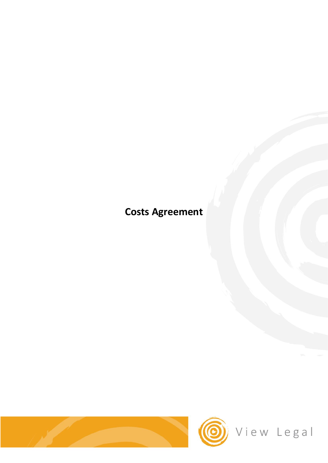# **Costs Agreement**

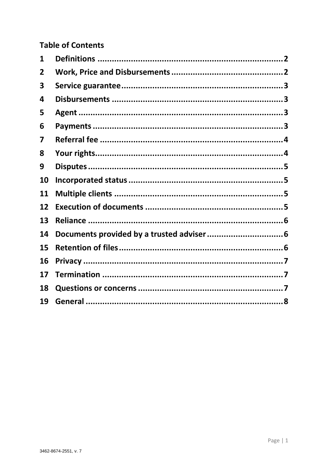### **Table of Contents**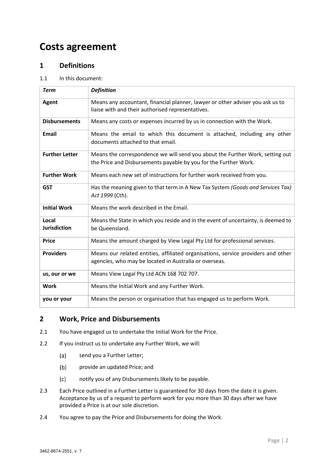## **Costs agreement**

#### <span id="page-2-0"></span>**1 Definitions**

#### 1.1 In this document:

| <b>Term</b>                  | <b>Definition</b>                                                                                                                                 |
|------------------------------|---------------------------------------------------------------------------------------------------------------------------------------------------|
| <b>Agent</b>                 | Means any accountant, financial planner, lawyer or other adviser you ask us to<br>liaise with and their authorised representatives.               |
| <b>Disbursements</b>         | Means any costs or expenses incurred by us in connection with the Work.                                                                           |
| <b>Email</b>                 | Means the email to which this document is attached, including any other<br>documents attached to that email.                                      |
| <b>Further Letter</b>        | Means the correspondence we will send you about the Further Work, setting out<br>the Price and Disbursements payable by you for the Further Work. |
| <b>Further Work</b>          | Means each new set of instructions for further work received from you.                                                                            |
| <b>GST</b>                   | Has the meaning given to that term in A New Tax System (Goods and Services Tax)<br>Act 1999 (Cth).                                                |
| <b>Initial Work</b>          | Means the work described in the Email.                                                                                                            |
| Local<br><b>Jurisdiction</b> | Means the State in which you reside and in the event of uncertainty, is deemed to<br>be Queensland.                                               |
| <b>Price</b>                 | Means the amount charged by View Legal Pty Ltd for professional services.                                                                         |
| <b>Providers</b>             | Means our related entities, affiliated organisations, service providers and other<br>agencies, who may be located in Australia or overseas.       |
| us, our or we                | Means View Legal Pty Ltd ACN 168 702 707.                                                                                                         |
| <b>Work</b>                  | Means the Initial Work and any Further Work.                                                                                                      |
| you or your                  | Means the person or organisation that has engaged us to perform Work.                                                                             |

#### <span id="page-2-1"></span>**2 Work, Price and Disbursements**

- 2.1 You have engaged us to undertake the Initial Work for the Price.
- 2.2 If you instruct us to undertake any Further Work, we will:
	- send you a Further Letter;  $(a)$
	- $(b)$ provide an updated Price; and
	- notify you of any Disbursements likely to be payable.  $(c)$
- 2.3 Each Price outlined in a Further Letter is guaranteed for 30 days from the date it is given. Acceptance by us of a request to perform work for you more than 30 days after we have provided a Price is at our sole discretion.
- 2.4 You agree to pay the Price and Disbursements for doing the Work.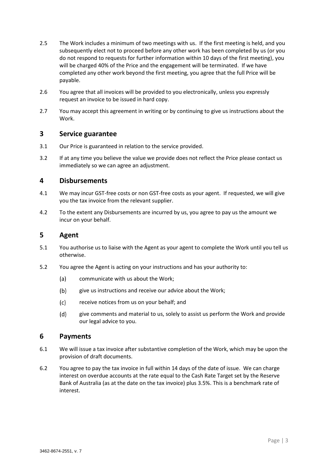- 2.5 The Work includes a minimum of two meetings with us. If the first meeting is held, and you subsequently elect not to proceed before any other work has been completed by us (or you do not respond to requests for further information within 10 days of the first meeting), you will be charged 40% of the Price and the engagement will be terminated. If we have completed any other work beyond the first meeting, you agree that the full Price will be payable.
- 2.6 You agree that all invoices will be provided to you electronically, unless you expressly request an invoice to be issued in hard copy.
- 2.7 You may accept this agreement in writing or by continuing to give us instructions about the Work.

#### <span id="page-3-0"></span>**3 Service guarantee**

- 3.1 Our Price is guaranteed in relation to the service provided.
- 3.2 If at any time you believe the value we provide does not reflect the Price please contact us immediately so we can agree an adjustment.

#### <span id="page-3-1"></span>**4 Disbursements**

- 4.1 We may incur GST-free costs or non GST-free costs as your agent. If requested, we will give you the tax invoice from the relevant supplier.
- 4.2 To the extent any Disbursements are incurred by us, you agree to pay us the amount we incur on your behalf.

#### <span id="page-3-2"></span>**5 Agent**

- 5.1 You authorise us to liaise with the Agent as your agent to complete the Work until you tell us otherwise.
- 5.2 You agree the Agent is acting on your instructions and has your authority to:
	- $(a)$ communicate with us about the Work;
	- $(b)$ give us instructions and receive our advice about the Work;
	- $(c)$ receive notices from us on your behalf; and
	- $(d)$ give comments and material to us, solely to assist us perform the Work and provide our legal advice to you.

#### <span id="page-3-3"></span>**6 Payments**

- 6.1 We will issue a tax invoice after substantive completion of the Work, which may be upon the provision of draft documents.
- 6.2 You agree to pay the tax invoice in full within 14 days of the date of issue. We can charge interest on overdue accounts at the rate equal to the Cash Rate Target set by the Reserve Bank of Australia (as at the date on the tax invoice) plus 3.5%. This is a benchmark rate of interest.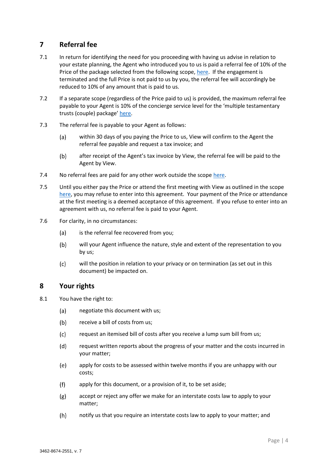#### <span id="page-4-0"></span>**7 Referral fee**

- 7.1 In return for identifying the need for you proceeding with having us advise in relation to your estate planning, the Agent who introduced you to us is paid a referral fee of 10% of the Price of the package selected from the following scope, [here.](https://viewlegal.com.au/wp-content/uploads/2021/09/View-Facilitated-Estate-Planning.pdf) If the engagement is terminated and the full Price is not paid to us by you, the referral fee will accordingly be reduced to 10% of any amount that is paid to us.
- 7.2 If a separate scope (regardless of the Price paid to us) is provided, the maximum referral fee payable to your Agent is 10% of the concierge service level for the 'multiple testamentary trusts (couple) package' [here.](https://viewlegal.com.au/wp-content/uploads/2021/09/View-Facilitated-Estate-Planning.pdf)
- 7.3 The referral fee is payable to your Agent as follows:
	- within 30 days of you paying the Price to us, View will confirm to the Agent the  $(a)$ referral fee payable and request a tax invoice; and
	- $(b)$ after receipt of the Agent's tax invoice by View, the referral fee will be paid to the Agent by View.
- 7.4 No referral fees are paid for any other work outside the scope [here.](https://viewlegal.com.au/wp-content/uploads/2021/09/View-Facilitated-Estate-Planning.pdf)
- 7.5 Until you either pay the Price or attend the first meeting with View as outlined in the scope [here,](https://viewlegal.com.au/wp-content/uploads/2021/09/View-Facilitated-Estate-Planning.pdf) you may refuse to enter into this agreement. Your payment of the Price or attendance at the first meeting is a deemed acceptance of this agreement. If you refuse to enter into an agreement with us, no referral fee is paid to your Agent.
- 7.6 For clarity, in no circumstances:
	- is the referral fee recovered from you;  $(a)$
	- $(b)$ will your Agent influence the nature, style and extent of the representation to you by us;
	- $(c)$ will the position in relation to your privacy or on termination (as set out in this document) be impacted on.

#### <span id="page-4-1"></span>**8 Your rights**

- 8.1 You have the right to:
	- $(a)$ negotiate this document with us;
	- $(b)$ receive a bill of costs from us;
	- $(c)$ request an itemised bill of costs after you receive a lump sum bill from us;
	- $(d)$ request written reports about the progress of your matter and the costs incurred in your matter;
	- $(e)$ apply for costs to be assessed within twelve months if you are unhappy with our costs;
	- $(f)$ apply for this document, or a provision of it, to be set aside;
	- $(g)$ accept or reject any offer we make for an interstate costs law to apply to your matter;
	- $(h)$ notify us that you require an interstate costs law to apply to your matter; and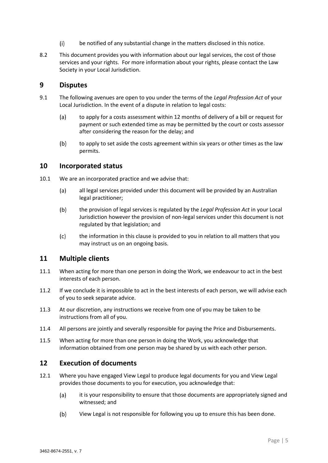- $(i)$ be notified of any substantial change in the matters disclosed in this notice.
- 8.2 This document provides you with information about our legal services, the cost of those services and your rights. For more information about your rights, please contact the Law Society in your Local Jurisdiction.

#### <span id="page-5-0"></span>**9 Disputes**

- 9.1 The following avenues are open to you under the terms of the *Legal Profession Act* of your Local Jurisdiction. In the event of a dispute in relation to legal costs:
	- $(a)$ to apply for a costs assessment within 12 months of delivery of a bill or request for payment or such extended time as may be permitted by the court or costs assessor after considering the reason for the delay; and
	- $(b)$ to apply to set aside the costs agreement within six years or other times as the law permits.

#### <span id="page-5-1"></span>**10 Incorporated status**

- 10.1 We are an incorporated practice and we advise that:
	- $(a)$ all legal services provided under this document will be provided by an Australian legal practitioner;
	- $(b)$ the provision of legal services is regulated by the *Legal Profession Act* in your Local Jurisdiction however the provision of non-legal services under this document is not regulated by that legislation; and
	- $(c)$ the information in this clause is provided to you in relation to all matters that you may instruct us on an ongoing basis.

#### <span id="page-5-2"></span>**11 Multiple clients**

- 11.1 When acting for more than one person in doing the Work, we endeavour to act in the best interests of each person.
- 11.2 If we conclude it is impossible to act in the best interests of each person, we will advise each of you to seek separate advice.
- 11.3 At our discretion, any instructions we receive from one of you may be taken to be instructions from all of you.
- 11.4 All persons are jointly and severally responsible for paying the Price and Disbursements.
- 11.5 When acting for more than one person in doing the Work, you acknowledge that information obtained from one person may be shared by us with each other person.

#### <span id="page-5-3"></span>**12 Execution of documents**

- 12.1 Where you have engaged View Legal to produce legal documents for you and View Legal provides those documents to you for execution, you acknowledge that:
	- $(a)$ it is your responsibility to ensure that those documents are appropriately signed and witnessed; and
	- $(b)$ View Legal is not responsible for following you up to ensure this has been done.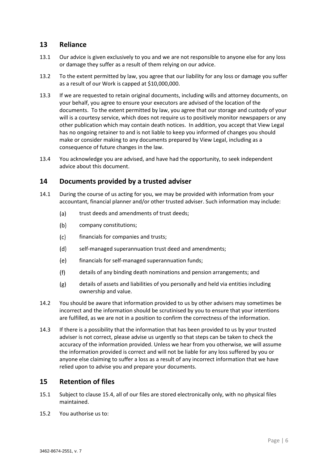#### <span id="page-6-0"></span>**13 Reliance**

- 13.1 Our advice is given exclusively to you and we are not responsible to anyone else for any loss or damage they suffer as a result of them relying on our advice.
- 13.2 To the extent permitted by law, you agree that our liability for any loss or damage you suffer as a result of our Work is capped at \$10,000,000.
- 13.3 If we are requested to retain original documents, including wills and attorney documents, on your behalf, you agree to ensure your executors are advised of the location of the documents. To the extent permitted by law, you agree that our storage and custody of your will is a courtesy service, which does not require us to positively monitor newspapers or any other publication which may contain death notices. In addition, you accept that View Legal has no ongoing retainer to and is not liable to keep you informed of changes you should make or consider making to any documents prepared by View Legal, including as a consequence of future changes in the law.
- 13.4 You acknowledge you are advised, and have had the opportunity, to seek independent advice about this document.

#### <span id="page-6-1"></span>**14 Documents provided by a trusted adviser**

- 14.1 During the course of us acting for you, we may be provided with information from your accountant, financial planner and/or other trusted adviser. Such information may include:
	- trust deeds and amendments of trust deeds;  $(a)$
	- $(b)$ company constitutions;
	- $(c)$ financials for companies and trusts;
	- $(d)$ self-managed superannuation trust deed and amendments;
	- $(e)$ financials for self-managed superannuation funds;
	- $(f)$ details of any binding death nominations and pension arrangements; and
	- details of assets and liabilities of you personally and held via entities including  $(g)$ ownership and value.
- 14.2 You should be aware that information provided to us by other advisers may sometimes be incorrect and the information should be scrutinised by you to ensure that your intentions are fulfilled, as we are not in a position to confirm the correctness of the information.
- 14.3 If there is a possibility that the information that has been provided to us by your trusted adviser is not correct, please advise us urgently so that steps can be taken to check the accuracy of the information provided. Unless we hear from you otherwise, we will assume the information provided is correct and will not be liable for any loss suffered by you or anyone else claiming to suffer a loss as a result of any incorrect information that we have relied upon to advise you and prepare your documents.

#### <span id="page-6-2"></span>**15 Retention of files**

- 15.1 Subject to clause [15.4,](#page-7-3) all of our files are stored electronically only, with no physical files maintained.
- 15.2 You authorise us to: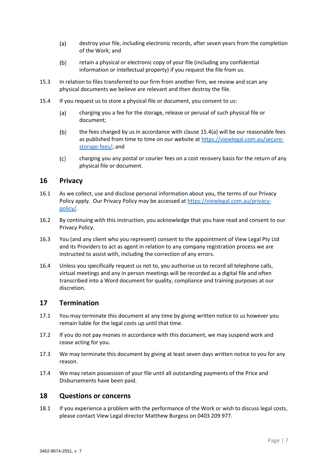- $(a)$ destroy your file, including electronic records, after seven years from the completion of the Work; and
- $(b)$ retain a physical or electronic copy of your file (including any confidential information or intellectual property) if you request the file from us.
- 15.3 In relation to files transferred to our firm from another firm, we review and scan any physical documents we believe are relevant and then destroy the file.
- <span id="page-7-4"></span><span id="page-7-3"></span>15.4 If you request us to store a physical file or document, you consent to us:
	- $(a)$ charging you a fee for the storage, release or perusal of such physical file or document;
	- $(b)$ the fees charged by us in accordance with clause [15.4\(a\)](#page-7-4) will be our reasonable fees as published from time to time on our website a[t https://viewlegal.com.au/secure](https://viewlegal.com.au/secure-storage-fees/)[storage-fees/;](https://viewlegal.com.au/secure-storage-fees/) and
	- $(c)$ charging you any postal or courier fees on a cost recovery basis for the return of any physical file or document.

#### <span id="page-7-0"></span>**16 Privacy**

- 16.1 As we collect, use and disclose personal information about you, the terms of our Privacy Policy apply. Our Privacy Policy may be accessed at [https://viewlegal.com.au/privacy](https://viewlegal.com.au/privacy-policy/)[policy/.](https://viewlegal.com.au/privacy-policy/)
- 16.2 By continuing with this instruction, you acknowledge that you have read and consent to our Privacy Policy.
- 16.3 You (and any client who you represent) consent to the appointment of View Legal Pty Ltd and its Providers to act as agent in relation to any company registration process we are instructed to assist with, including the correction of any errors.
- 16.4 Unless you specifically request us not to, you authorise us to record all telephone calls, virtual meetings and any in person meetings will be recorded as a digital file and often transcribed into a Word document for quality, compliance and training purposes at our discretion.

#### <span id="page-7-1"></span>**17 Termination**

- 17.1 You may terminate this document at any time by giving written notice to us however you remain liable for the legal costs up until that time.
- 17.2 If you do not pay monies in accordance with this document, we may suspend work and cease acting for you.
- 17.3 We may terminate this document by giving at least seven days written notice to you for any reason.
- 17.4 We may retain possession of your file until all outstanding payments of the Price and Disbursements have been paid.

#### <span id="page-7-2"></span>**18 Questions or concerns**

18.1 If you experience a problem with the performance of the Work or wish to discuss legal costs, please contact View Legal director Matthew Burgess on 0403 209 977.